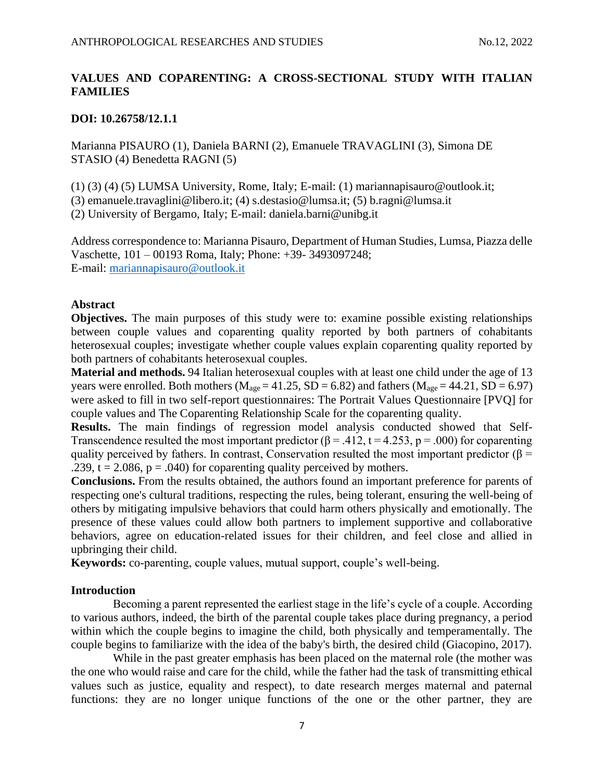# **VALUES AND COPARENTING: A CROSS-SECTIONAL STUDY WITH ITALIAN FAMILIES**

## **DOI: 10.26758/12.1.1**

Marianna PISAURO (1), Daniela BARNI (2), Emanuele TRAVAGLINI (3), Simona DE STASIO (4) Benedetta RAGNI (5)

(1) (3) (4) (5) LUMSA University, Rome, Italy; E-mail: (1) mariannapisauro@outlook.it;

(3) emanuele.travaglini@libero.it; (4) s.destasio@lumsa.it; (5) b.ragni@lumsa.it

(2) University of Bergamo, Italy; E-mail: daniela.barni@unibg.it

Address correspondence to: Marianna Pisauro, Department of Human Studies, Lumsa, Piazza delle Vaschette, 101 – 00193 Roma, Italy; Phone: +39- 3493097248; E-mail:<mariannapisauro@outlook.it>

## **Abstract**

**Objectives.** The main purposes of this study were to: examine possible existing relationships between couple values and coparenting quality reported by both partners of cohabitants heterosexual couples; investigate whether couple values explain coparenting quality reported by both partners of cohabitants heterosexual couples.

**Material and methods.** 94 Italian heterosexual couples with at least one child under the age of 13 years were enrolled. Both mothers ( $M_{\text{age}} = 41.25$ ,  $SD = 6.82$ ) and fathers ( $M_{\text{age}} = 44.21$ ,  $SD = 6.97$ ) were asked to fill in two self-report questionnaires: The Portrait Values Questionnaire [PVQ] for couple values and The Coparenting Relationship Scale for the coparenting quality.

**Results.** The main findings of regression model analysis conducted showed that Self-Transcendence resulted the most important predictor ( $\beta$  = .412, t = 4.253, p = .000) for coparenting quality perceived by fathers. In contrast, Conservation resulted the most important predictor ( $\beta$  = .239,  $t = 2.086$ ,  $p = .040$  for coparenting quality perceived by mothers.

**Conclusions.** From the results obtained, the authors found an important preference for parents of respecting one's cultural traditions, respecting the rules, being tolerant, ensuring the well-being of others by mitigating impulsive behaviors that could harm others physically and emotionally. The presence of these values could allow both partners to implement supportive and collaborative behaviors, agree on education-related issues for their children, and feel close and allied in upbringing their child.

**Keywords:** co-parenting, couple values, mutual support, couple's well-being.

## **Introduction**

Becoming a parent represented the earliest stage in the life's cycle of a couple. According to various authors, indeed, the birth of the parental couple takes place during pregnancy, a period within which the couple begins to imagine the child, both physically and temperamentally. The couple begins to familiarize with the idea of the baby's birth, the desired child (Giacopino, 2017).

While in the past greater emphasis has been placed on the maternal role (the mother was the one who would raise and care for the child, while the father had the task of transmitting ethical values such as justice, equality and respect), to date research merges maternal and paternal functions: they are no longer unique functions of the one or the other partner, they are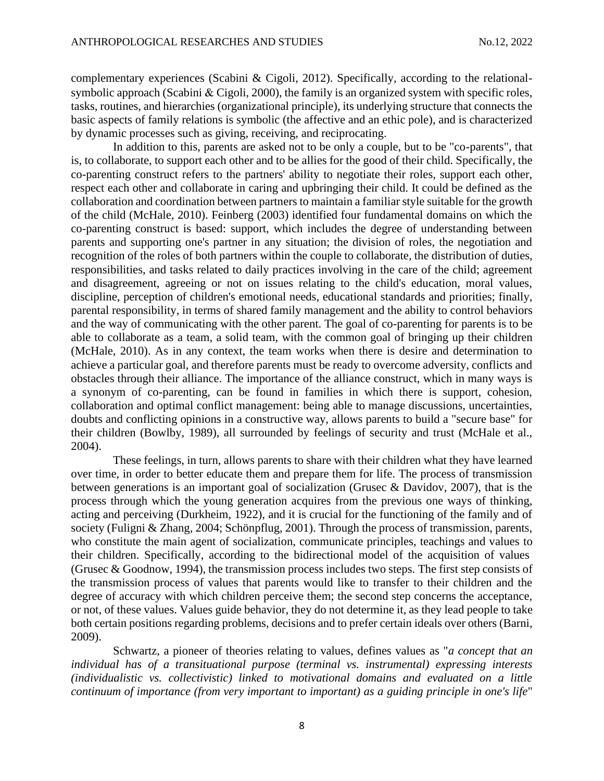complementary experiences (Scabini & Cigoli, 2012). Specifically, according to the relationalsymbolic approach (Scabini  $& Cigoli, 2000$ ), the family is an organized system with specific roles, tasks, routines, and hierarchies (organizational principle), its underlying structure that connects the basic aspects of family relations is symbolic (the affective and an ethic pole), and is characterized by dynamic processes such as giving, receiving, and reciprocating.

In addition to this, parents are asked not to be only a couple, but to be "co-parents", that is, to collaborate, to support each other and to be allies for the good of their child. Specifically, the co-parenting construct refers to the partners' ability to negotiate their roles, support each other, respect each other and collaborate in caring and upbringing their child. It could be defined as the collaboration and coordination between partners to maintain a familiar style suitable for the growth of the child (McHale, 2010). Feinberg (2003) identified four fundamental domains on which the co-parenting construct is based: support, which includes the degree of understanding between parents and supporting one's partner in any situation; the division of roles, the negotiation and recognition of the roles of both partners within the couple to collaborate, the distribution of duties, responsibilities, and tasks related to daily practices involving in the care of the child; agreement and disagreement, agreeing or not on issues relating to the child's education, moral values, discipline, perception of children's emotional needs, educational standards and priorities; finally, parental responsibility, in terms of shared family management and the ability to control behaviors and the way of communicating with the other parent. The goal of co-parenting for parents is to be able to collaborate as a team, a solid team, with the common goal of bringing up their children (McHale, 2010). As in any context, the team works when there is desire and determination to achieve a particular goal, and therefore parents must be ready to overcome adversity, conflicts and obstacles through their alliance. The importance of the alliance construct, which in many ways is a synonym of co-parenting, can be found in families in which there is support, cohesion, collaboration and optimal conflict management: being able to manage discussions, uncertainties, doubts and conflicting opinions in a constructive way, allows parents to build a "secure base" for their children (Bowlby, 1989), all surrounded by feelings of security and trust (McHale et al., 2004).

These feelings, in turn, allows parents to share with their children what they have learned over time, in order to better educate them and prepare them for life. The process of transmission between generations is an important goal of socialization (Grusec & Davidov, 2007), that is the process through which the young generation acquires from the previous one ways of thinking, acting and perceiving (Durkheim, 1922), and it is crucial for the functioning of the family and of society (Fuligni & Zhang, 2004; Schönpflug, 2001). Through the process of transmission, parents, who constitute the main agent of socialization, communicate principles, teachings and values to their children. Specifically, according to the bidirectional model of the acquisition of values (Grusec & Goodnow, 1994), the transmission process includes two steps. The first step consists of the transmission process of values that parents would like to transfer to their children and the degree of accuracy with which children perceive them; the second step concerns the acceptance, or not, of these values. Values guide behavior, they do not determine it, as they lead people to take both certain positions regarding problems, decisions and to prefer certain ideals over others (Barni, 2009).

Schwartz, a pioneer of theories relating to values, defines values as "*a concept that an individual has of a transituational purpose (terminal vs. instrumental) expressing interests (individualistic vs. collectivistic) linked to motivational domains and evaluated on a little continuum of importance (from very important to important) as a guiding principle in one's life*"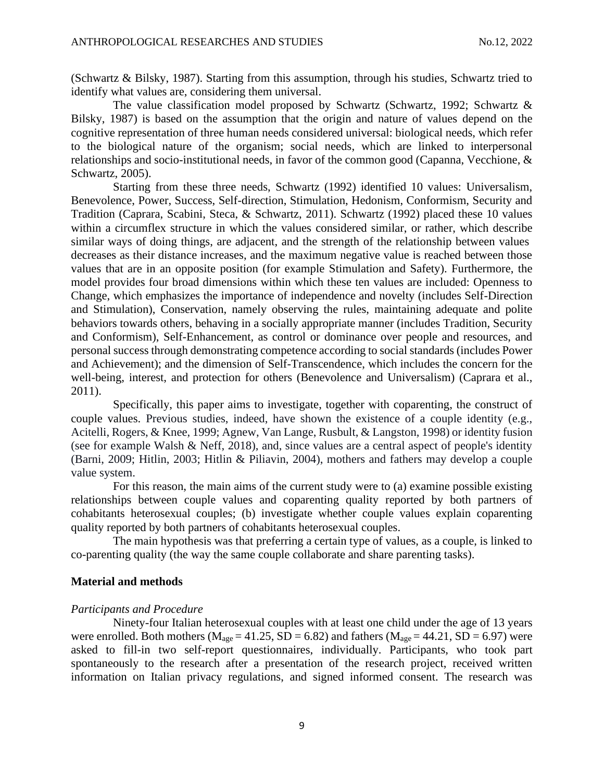(Schwartz & Bilsky, 1987). Starting from this assumption, through his studies, Schwartz tried to identify what values are, considering them universal.

The value classification model proposed by Schwartz (Schwartz, 1992; Schwartz & Bilsky, 1987) is based on the assumption that the origin and nature of values depend on the cognitive representation of three human needs considered universal: biological needs, which refer to the biological nature of the organism; social needs, which are linked to interpersonal relationships and socio-institutional needs, in favor of the common good (Capanna, Vecchione, & Schwartz, 2005).

Starting from these three needs, Schwartz (1992) identified 10 values: Universalism, Benevolence, Power, Success, Self-direction, Stimulation, Hedonism, Conformism, Security and Tradition (Caprara, Scabini, Steca, & Schwartz, 2011). Schwartz (1992) placed these 10 values within a circumflex structure in which the values considered similar, or rather, which describe similar ways of doing things, are adjacent, and the strength of the relationship between values decreases as their distance increases, and the maximum negative value is reached between those values that are in an opposite position (for example Stimulation and Safety). Furthermore, the model provides four broad dimensions within which these ten values are included: Openness to Change, which emphasizes the importance of independence and novelty (includes Self-Direction and Stimulation), Conservation, namely observing the rules, maintaining adequate and polite behaviors towards others, behaving in a socially appropriate manner (includes Tradition, Security and Conformism), Self-Enhancement, as control or dominance over people and resources, and personal success through demonstrating competence according to social standards (includes Power and Achievement); and the dimension of Self-Transcendence, which includes the concern for the well-being, interest, and protection for others (Benevolence and Universalism) (Caprara et al., 2011).

Specifically, this paper aims to investigate, together with coparenting, the construct of couple values. Previous studies, indeed, have shown the existence of a couple identity (e.g., Acitelli, Rogers, & Knee, 1999; Agnew, Van Lange, Rusbult, & Langston, 1998) or identity fusion (see for example Walsh & Neff, 2018), and, since values are a central aspect of people's identity (Barni, 2009; Hitlin, 2003; Hitlin & Piliavin, 2004), mothers and fathers may develop a couple value system.

For this reason, the main aims of the current study were to (a) examine possible existing relationships between couple values and coparenting quality reported by both partners of cohabitants heterosexual couples; (b) investigate whether couple values explain coparenting quality reported by both partners of cohabitants heterosexual couples.

The main hypothesis was that preferring a certain type of values, as a couple, is linked to co-parenting quality (the way the same couple collaborate and share parenting tasks).

#### **Material and methods**

#### *Participants and Procedure*

Ninety-four Italian heterosexual couples with at least one child under the age of 13 years were enrolled. Both mothers ( $M_{\text{age}} = 41.25$ , SD = 6.82) and fathers ( $M_{\text{age}} = 44.21$ , SD = 6.97) were asked to fill-in two self-report questionnaires, individually. Participants, who took part spontaneously to the research after a presentation of the research project, received written information on Italian privacy regulations, and signed informed consent. The research was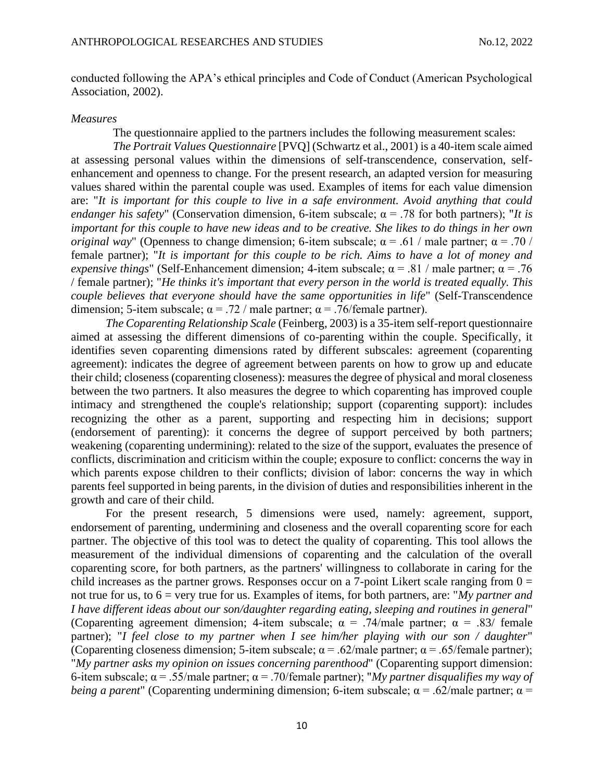conducted following the APA's ethical principles and Code of Conduct (American Psychological Association, 2002).

#### *Measures*

The questionnaire applied to the partners includes the following measurement scales:

*The Portrait Values Questionnaire* [PVQ] (Schwartz et al., 2001) is a 40-item scale aimed at assessing personal values within the dimensions of self-transcendence, conservation, selfenhancement and openness to change. For the present research, an adapted version for measuring values shared within the parental couple was used. Examples of items for each value dimension are: "*It is important for this couple to live in a safe environment. Avoid anything that could endanger his safety*" (Conservation dimension, 6-item subscale;  $\alpha = .78$  for both partners); "*It is important for this couple to have new ideas and to be creative. She likes to do things in her own original way*" (Openness to change dimension; 6-item subscale;  $\alpha = .61$  / male partner;  $\alpha = .70$  / female partner); "*It is important for this couple to be rich. Aims to have a lot of money and expensive things*" (Self-Enhancement dimension; 4-item subscale;  $\alpha = .81$  / male partner;  $\alpha = .76$ / female partner); "*He thinks it's important that every person in the world is treated equally. This couple believes that everyone should have the same opportunities in life*" (Self-Transcendence dimension; 5-item subscale;  $\alpha = .72$  / male partner;  $\alpha = .76$ /female partner).

*The Coparenting Relationship Scale* (Feinberg, 2003) is a 35-item self-report questionnaire aimed at assessing the different dimensions of co-parenting within the couple. Specifically, it identifies seven coparenting dimensions rated by different subscales: agreement (coparenting agreement): indicates the degree of agreement between parents on how to grow up and educate their child; closeness (coparenting closeness): measures the degree of physical and moral closeness between the two partners. It also measures the degree to which coparenting has improved couple intimacy and strengthened the couple's relationship; support (coparenting support): includes recognizing the other as a parent, supporting and respecting him in decisions; support (endorsement of parenting): it concerns the degree of support perceived by both partners; weakening (coparenting undermining): related to the size of the support, evaluates the presence of conflicts, discrimination and criticism within the couple; exposure to conflict: concerns the way in which parents expose children to their conflicts; division of labor: concerns the way in which parents feel supported in being parents, in the division of duties and responsibilities inherent in the growth and care of their child.

For the present research, 5 dimensions were used, namely: agreement, support, endorsement of parenting, undermining and closeness and the overall coparenting score for each partner. The objective of this tool was to detect the quality of coparenting. This tool allows the measurement of the individual dimensions of coparenting and the calculation of the overall coparenting score, for both partners, as the partners' willingness to collaborate in caring for the child increases as the partner grows. Responses occur on a 7-point Likert scale ranging from  $0 =$ not true for us, to 6 = very true for us. Examples of items, for both partners, are: "*My partner and I have different ideas about our son/daughter regarding eating, sleeping and routines in general*" (Coparenting agreement dimension; 4-item subscale;  $\alpha = .74$ /male partner;  $\alpha = .83$ / female partner); "*I feel close to my partner when I see him/her playing with our son / daughter*" (Coparenting closeness dimension; 5-item subscale;  $\alpha = .62$ /male partner;  $\alpha = .65$ /female partner); "*My partner asks my opinion on issues concerning parenthood*" (Coparenting support dimension: 6-item subscale; α = .55/male partner; α = .70/female partner); "*My partner disqualifies my way of being a parent*" (Coparenting undermining dimension; 6-item subscale;  $\alpha = .62$ /male partner;  $\alpha =$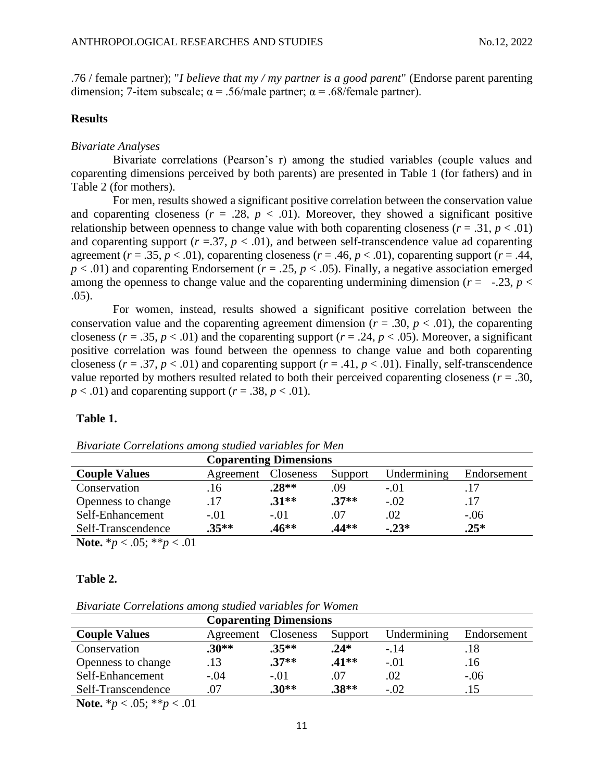.76 / female partner); "*I believe that my / my partner is a good parent*" (Endorse parent parenting dimension; 7-item subscale;  $\alpha = .56$ /male partner;  $\alpha = .68$ /female partner).

## **Results**

### *Bivariate Analyses*

Bivariate correlations (Pearson's r) among the studied variables (couple values and coparenting dimensions perceived by both parents) are presented in Table 1 (for fathers) and in Table 2 (for mothers).

For men, results showed a significant positive correlation between the conservation value and coparenting closeness ( $r = .28$ ,  $p < .01$ ). Moreover, they showed a significant positive relationship between openness to change value with both coparenting closeness ( $r = .31$ ,  $p < .01$ ) and coparenting support  $(r = .37, p < .01)$ , and between self-transcendence value ad coparenting agreement ( $r = .35$ ,  $p < .01$ ), coparenting closeness ( $r = .46$ ,  $p < .01$ ), coparenting support ( $r = .44$ ,  $p < .01$ ) and coparenting Endorsement ( $r = .25$ ,  $p < .05$ ). Finally, a negative association emerged among the openness to change value and the coparenting undermining dimension ( $r = -.23$ ,  $p <$ .05).

For women, instead, results showed a significant positive correlation between the conservation value and the coparenting agreement dimension ( $r = .30$ ,  $p < .01$ ), the coparenting closeness ( $r = .35$ ,  $p < .01$ ) and the coparenting support ( $r = .24$ ,  $p < .05$ ). Moreover, a significant positive correlation was found between the openness to change value and both coparenting closeness ( $r = .37$ ,  $p < .01$ ) and coparenting support ( $r = .41$ ,  $p < .01$ ). Finally, self-transcendence value reported by mothers resulted related to both their perceived coparenting closeness ( $r = .30$ ,  $p < .01$ ) and coparenting support ( $r = .38$ ,  $p < .01$ ).

### **Table 1.**

| <b>Coparenting Dimensions</b> |           |                  |         |             |             |  |
|-------------------------------|-----------|------------------|---------|-------------|-------------|--|
| <b>Couple Values</b>          | Agreement | <b>Closeness</b> | Support | Undermining | Endorsement |  |
| Conservation                  | .16       | $.28**$          | 09      | $-.01$      |             |  |
| Openness to change            |           | $.31**$          | $.37**$ | $-.02$      |             |  |
| Self-Enhancement              | $-.01$    | $-.01$           | .07     | .02         | $-.06$      |  |
| Self-Transcendence            | $.35**$   | $.46**$          | 44**    | $-0.23*$    | $.25*$      |  |

*Bivariate Correlations among studied variables for Men*

**Note.**  $*_{p} < .05$ ;  $*_{p} < .01$ 

#### **Table 2.**

*Bivariate Correlations among studied variables for Women*

| <b>Coparenting Dimensions</b> |                                                  |         |         |        |             |
|-------------------------------|--------------------------------------------------|---------|---------|--------|-------------|
| <b>Couple Values</b>          | Undermining<br>Closeness<br>Support<br>Agreement |         |         |        | Endorsement |
| Conservation                  | $.30**$                                          | $.35**$ | $.24*$  | $-14$  | .18         |
| Openness to change            | 13                                               | $.37**$ | $.41**$ | $-.01$ | .16         |
| Self-Enhancement              | $-.04$                                           | $-.01$  | .O /    | .02    | $-.06$      |
| Self-Transcendence            | .07                                              | $.30**$ | $.38**$ | $-.02$ |             |

**Note.** \**p* < .05; \*\**p* < .01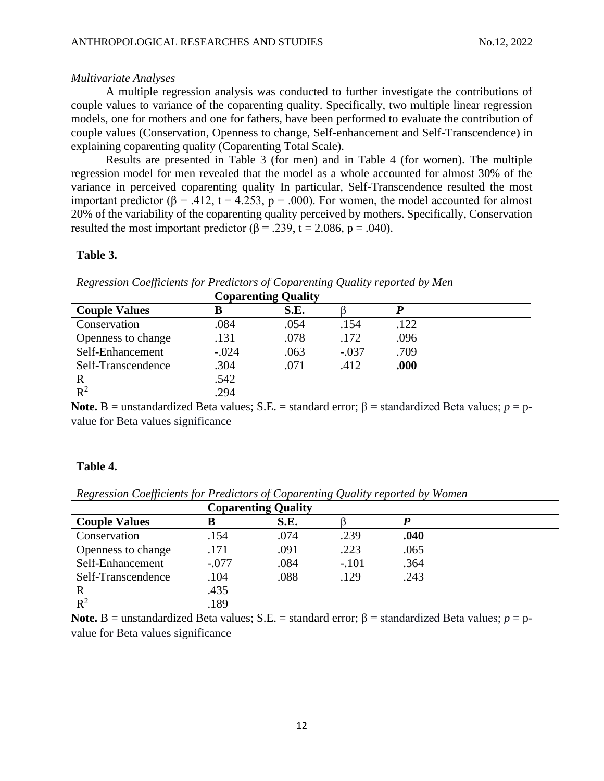## *Multivariate Analyses*

A multiple regression analysis was conducted to further investigate the contributions of couple values to variance of the coparenting quality. Specifically, two multiple linear regression models, one for mothers and one for fathers, have been performed to evaluate the contribution of couple values (Conservation, Openness to change, Self-enhancement and Self-Transcendence) in explaining coparenting quality (Coparenting Total Scale).

Results are presented in Table 3 (for men) and in Table 4 (for women). The multiple regression model for men revealed that the model as a whole accounted for almost 30% of the variance in perceived coparenting quality In particular, Self-Transcendence resulted the most important predictor (β = .412, t = 4.253, p = .000). For women, the model accounted for almost 20% of the variability of the coparenting quality perceived by mothers. Specifically, Conservation resulted the most important predictor ( $\beta$  = .239, t = 2.086, p = .040).

## **Table 3.**

*Regression Coefficients for Predictors of Coparenting Quality reported by Men*

| <b>Coparenting Quality</b> |         |      |         |      |  |
|----------------------------|---------|------|---------|------|--|
| <b>Couple Values</b>       |         | S.E. |         |      |  |
| Conservation               | .084    | .054 | .154    | .122 |  |
| Openness to change         | .131    | .078 | .172    | .096 |  |
| Self-Enhancement           | $-.024$ | .063 | $-.037$ | .709 |  |
| Self-Transcendence         | .304    | .071 | .412    | .000 |  |
| R                          | .542    |      |         |      |  |
| $R^2$                      | .294    |      |         |      |  |

**Note. B** = unstandardized Beta values; S.E. = standard error; β = standardized Beta values;  $p = p$ value for Beta values significance

## **Table 4.**

*Regression Coefficients for Predictors of Coparenting Quality reported by Women*

|                      | <b>Coparenting Quality</b> |      |         |      |  |
|----------------------|----------------------------|------|---------|------|--|
| <b>Couple Values</b> | в                          | S.E. |         |      |  |
| Conservation         | .154                       | .074 | .239    | .040 |  |
| Openness to change   | .171                       | .091 | .223    | .065 |  |
| Self-Enhancement     | $-.077$                    | .084 | $-.101$ | .364 |  |
| Self-Transcendence   | .104                       | .088 | .129    | .243 |  |
| R                    | .435                       |      |         |      |  |
| $R^2$                | .189                       |      |         |      |  |

**Note. B** = unstandardized Beta values; S.E. = standard error; β = standardized Beta values;  $p = p$ value for Beta values significance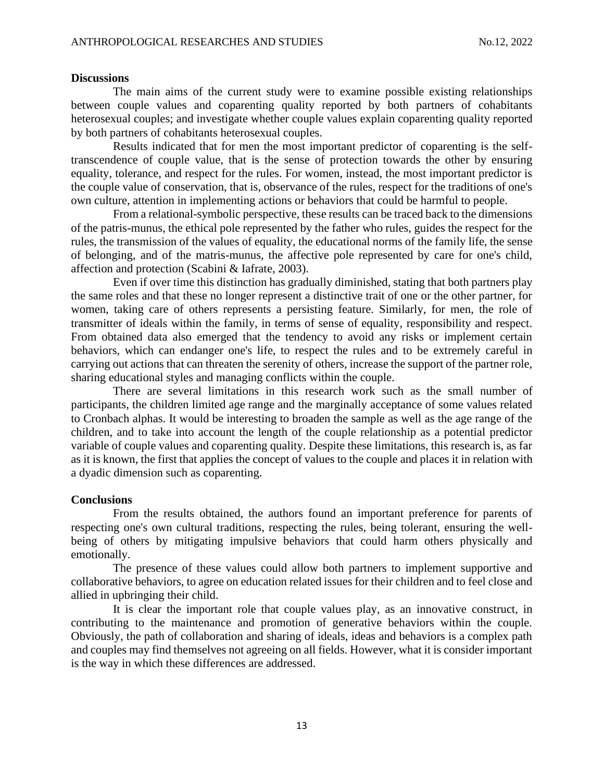#### **Discussions**

The main aims of the current study were to examine possible existing relationships between couple values and coparenting quality reported by both partners of cohabitants heterosexual couples; and investigate whether couple values explain coparenting quality reported by both partners of cohabitants heterosexual couples.

Results indicated that for men the most important predictor of coparenting is the selftranscendence of couple value, that is the sense of protection towards the other by ensuring equality, tolerance, and respect for the rules. For women, instead, the most important predictor is the couple value of conservation, that is, observance of the rules, respect for the traditions of one's own culture, attention in implementing actions or behaviors that could be harmful to people.

From a relational-symbolic perspective, these results can be traced back to the dimensions of the patris-munus, the ethical pole represented by the father who rules, guides the respect for the rules, the transmission of the values of equality, the educational norms of the family life, the sense of belonging, and of the matris-munus, the affective pole represented by care for one's child, affection and protection (Scabini & Iafrate, 2003).

Even if over time this distinction has gradually diminished, stating that both partners play the same roles and that these no longer represent a distinctive trait of one or the other partner, for women, taking care of others represents a persisting feature. Similarly, for men, the role of transmitter of ideals within the family, in terms of sense of equality, responsibility and respect. From obtained data also emerged that the tendency to avoid any risks or implement certain behaviors, which can endanger one's life, to respect the rules and to be extremely careful in carrying out actions that can threaten the serenity of others, increase the support of the partner role, sharing educational styles and managing conflicts within the couple.

There are several limitations in this research work such as the small number of participants, the children limited age range and the marginally acceptance of some values related to Cronbach alphas. It would be interesting to broaden the sample as well as the age range of the children, and to take into account the length of the couple relationship as a potential predictor variable of couple values and coparenting quality. Despite these limitations, this research is, as far as it is known, the first that applies the concept of values to the couple and places it in relation with a dyadic dimension such as coparenting.

## **Conclusions**

From the results obtained, the authors found an important preference for parents of respecting one's own cultural traditions, respecting the rules, being tolerant, ensuring the wellbeing of others by mitigating impulsive behaviors that could harm others physically and emotionally.

The presence of these values could allow both partners to implement supportive and collaborative behaviors, to agree on education related issues for their children and to feel close and allied in upbringing their child.

It is clear the important role that couple values play, as an innovative construct, in contributing to the maintenance and promotion of generative behaviors within the couple. Obviously, the path of collaboration and sharing of ideals, ideas and behaviors is a complex path and couples may find themselves not agreeing on all fields. However, what it is consider important is the way in which these differences are addressed.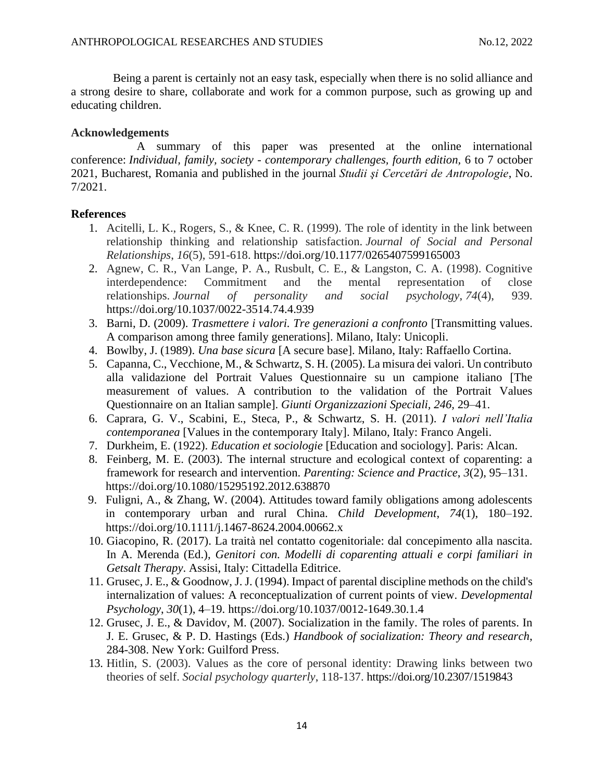Being a parent is certainly not an easy task, especially when there is no solid alliance and a strong desire to share, collaborate and work for a common purpose, such as growing up and educating children.

#### **Acknowledgements**

 A summary of this paper was presented at the online international conference: *Individual, family, society - contemporary challenges, fourth edition,* 6 to 7 october 2021, Bucharest, Romania and published in the journal *Studii şi Cercetări de Antropologie*, No. 7/2021.

## **References**

- 1. Acitelli, L. K., Rogers, S., & Knee, C. R. (1999). The role of identity in the link between relationship thinking and relationship satisfaction. *Journal of Social and Personal Relationships*, *16*(5), 591-618. https://doi.org/10.1177/0265407599165003
- 2. Agnew, C. R., Van Lange, P. A., Rusbult, C. E., & Langston, C. A. (1998). Cognitive interdependence: Commitment and the mental representation of close relationships. *Journal of personality and social psychology*, *74*(4), 939. https://doi.org/10.1037/0022-3514.74.4.939
- 3. Barni, D. (2009). *Trasmettere i valori. Tre generazioni a confronto* [Transmitting values. A comparison among three family generations]. Milano, Italy: Unicopli.
- 4. Bowlby, J. (1989). *Una base sicura* [A secure base]. Milano, Italy: Raffaello Cortina.
- 5. Capanna, C., Vecchione, M., & Schwartz, S. H. (2005). La misura dei valori. Un contributo alla validazione del Portrait Values Questionnaire su un campione italiano [The measurement of values. A contribution to the validation of the Portrait Values Questionnaire on an Italian sample]. *Giunti Organizzazioni Speciali, 246,* 29–41.
- 6. Caprara, G. V., Scabini, E., Steca, P., & Schwartz, S. H. (2011). *I valori nell'Italia contemporanea* [Values in the contemporary Italy]. Milano, Italy: Franco Angeli.
- 7. Durkheim, E. (1922). *Education et sociologie* [Education and sociology]. Paris: Alcan.
- 8. Feinberg, M. E. (2003). The internal structure and ecological context of coparenting: a framework for research and intervention. *Parenting: Science and Practice*, *3*(2), 95–131. https://doi.org/10.1080/15295192.2012.638870
- 9. Fuligni, A., & Zhang, W. (2004). Attitudes toward family obligations among adolescents in contemporary urban and rural China. *Child Development*, *74*(1), 180–192. https://doi.org/10.1111/j.1467-8624.2004.00662.x
- 10. Giacopino, R. (2017). La traità nel contatto cogenitoriale: dal concepimento alla nascita. In A. Merenda (Ed.), *Genitori con. Modelli di coparenting attuali e corpi familiari in Getsalt Therapy*. Assisi, Italy: Cittadella Editrice.
- 11. Grusec, J. E., & Goodnow, J. J. (1994). Impact of parental discipline methods on the child's internalization of values: A reconceptualization of current points of view. *Developmental Psychology*, *30*(1), 4–19. https://doi.org/10.1037/0012-1649.30.1.4
- 12. Grusec, J. E., & Davidov, M. (2007). Socialization in the family. The roles of parents. In J. E. Grusec, & P. D. Hastings (Eds.) *Handbook of socialization: Theory and research*, 284-308. New York: Guilford Press.
- 13. Hitlin, S. (2003). Values as the core of personal identity: Drawing links between two theories of self. *Social psychology quarterly*, 118-137. https://doi.org/10.2307/1519843